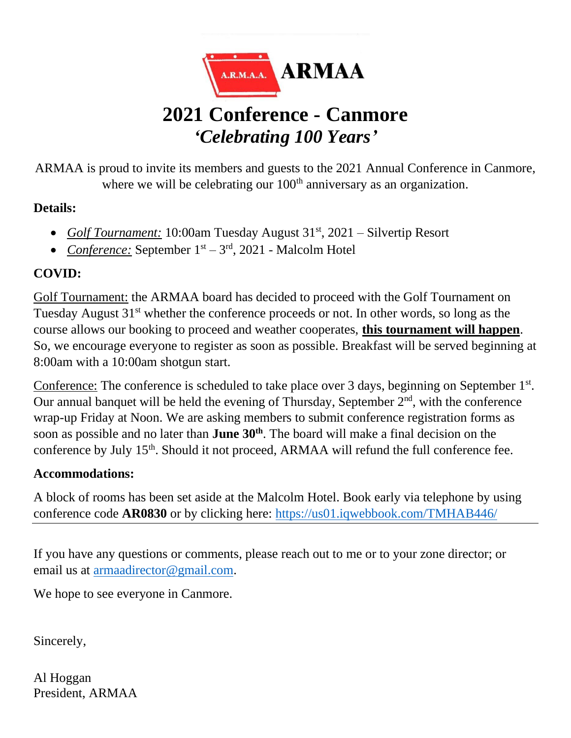

# **2021 Conference - Canmore** *'Celebrating 100 Years'*

ARMAA is proud to invite its members and guests to the 2021 Annual Conference in Canmore, where we will be celebrating our  $100<sup>th</sup>$  anniversary as an organization.

#### **Details:**

- *Golf Tournament:* 10:00am Tuesday August 31<sup>st</sup>, 2021 Silvertip Resort
- *Conference:* September 1<sup>st</sup> 3<sup>rd</sup>, 2021 Malcolm Hotel

### **COVID:**

Golf Tournament: the ARMAA board has decided to proceed with the Golf Tournament on Tuesday August 31<sup>st</sup> whether the conference proceeds or not. In other words, so long as the course allows our booking to proceed and weather cooperates, **this tournament will happen**. So, we encourage everyone to register as soon as possible. Breakfast will be served beginning at 8:00am with a 10:00am shotgun start.

Conference: The conference is scheduled to take place over 3 days, beginning on September 1<sup>st</sup>. Our annual banquet will be held the evening of Thursday, September  $2<sup>nd</sup>$ , with the conference wrap-up Friday at Noon. We are asking members to submit conference registration forms as soon as possible and no later than **June 30th**. The board will make a final decision on the conference by July 15<sup>th</sup>. Should it not proceed, ARMAA will refund the full conference fee.

#### **Accommodations:**

A block of rooms has been set aside at the Malcolm Hotel. Book early via telephone by using conference code **AR0830** or by clicking here:<https://us01.iqwebbook.com/TMHAB446/>

If you have any questions or comments, please reach out to me or to your zone director; or email us at [armaadirector@gmail.com.](mailto:armaadirector@gmail.com)

We hope to see everyone in Canmore.

Sincerely,

Al Hoggan President, ARMAA